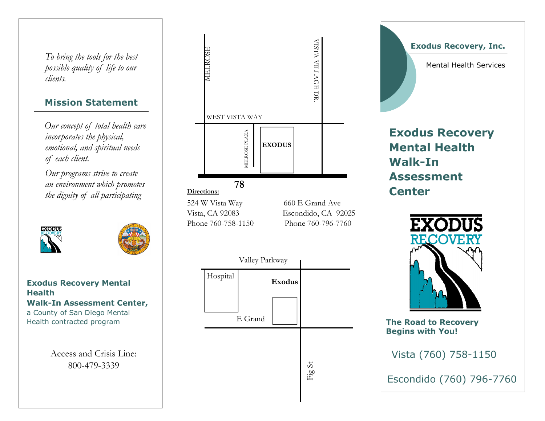To bring the tools for the best possible quality of life to our clients.

## Mission Statement

Our concept of total health care incorporates the physical, emotional, and spiritual needs of each client.

Our programs strive to create an environment which promotes the dignity of all participating

Exodus Recovery Mental **Health**  Walk-In Assessment Center, a County of San Diego Mental Health contracted program

**EXODUS** 

Access and Crisis Line: 800-479-3339



Exodus Recovery, Inc.

Mental Health Services

# Exodus Recovery Mental Health Walk-In Assessment **Center**



The Road to Recovery Begins with You!

Vista (760) 758-1150

Escondido (760) 796-7760